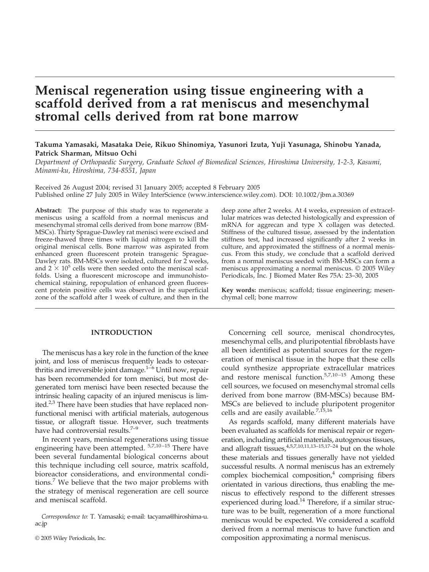# **Meniscal regeneration using tissue engineering with a scaffold derived from a rat meniscus and mesenchymal stromal cells derived from rat bone marrow**

# **Takuma Yamasaki, Masataka Deie, Rikuo Shinomiya, Yasunori Izuta, Yuji Yasunaga, Shinobu Yanada, Patrick Sharman, Mitsuo Ochi**

*Department of Orthopaedic Surgery, Graduate School of Biomedical Sciences, Hiroshima University, 1-2-3, Kasumi, Minami-ku, Hiroshima, 734-8551, Japan*

Received 26 August 2004; revised 31 January 2005; accepted 8 February 2005 Published online 27 July 2005 in Wiley InterScience (www.interscience.wiley.com). DOI: 10.1002/jbm.a.30369

**Abstract:** The purpose of this study was to regenerate a meniscus using a scaffold from a normal meniscus and mesenchymal stromal cells derived from bone marrow (BM-MSCs). Thirty Sprague-Dawley rat menisci were excised and freeze-thawed three times with liquid nitrogen to kill the original meniscal cells. Bone marrow was aspirated from enhanced green fluorescent protein transgenic Sprague-Dawley rats. BM-MSCs were isolated, cultured for 2 weeks, and  $2 \times 10^5$  cells were then seeded onto the meniscal scaffolds. Using a fluorescent microscope and immunohistochemical staining, repopulation of enhanced green fluorescent protein positive cells was observed in the superficial zone of the scaffold after 1 week of culture, and then in the

# **INTRODUCTION**

The meniscus has a key role in the function of the knee joint, and loss of meniscus frequently leads to osteoarthritis and irreversible joint damage.<sup>1–6</sup> Until now, repair has been recommended for torn menisci, but most degenerated torn menisci have been resected because the intrinsic healing capacity of an injured meniscus is limited.<sup>2,3</sup> There have been studies that have replaced nonfunctional menisci with artificial materials, autogenous tissue, or allograft tissue. However, such treatments have had controversial results.<sup>7-9</sup>

In recent years, meniscal regenerations using tissue engineering have been attempted. <sup>5,7,10-15</sup> There have been several fundamental biological concerns about this technique including cell source, matrix scaffold, bioreactor considerations, and environmental conditions.7 We believe that the two major problems with the strategy of meniscal regeneration are cell source and meniscal scaffold.

*Correspondence to:* T. Yamasaki; e-mail: tacyama@hiroshima-u. ac.jp

© 2005 Wiley Periodicals, Inc.

deep zone after 2 weeks. At 4 weeks, expression of extracellular matrices was detected histologically and expression of mRNA for aggrecan and type X collagen was detected. Stiffness of the cultured tissue, assessed by the indentation stiffness test, had increased significantly after 2 weeks in culture, and approximated the stiffness of a normal meniscus. From this study, we conclude that a scaffold derived from a normal meniscus seeded with BM-MSCs can form a meniscus approximating a normal meniscus. © 2005 Wiley Periodicals, Inc. J Biomed Mater Res 75A: 23–30, 2005

**Key words:** meniscus; scaffold; tissue engineering; mesenchymal cell; bone marrow

Concerning cell source, meniscal chondrocytes, mesenchymal cells, and pluripotential fibroblasts have all been identified as potential sources for the regeneration of meniscal tissue in the hope that these cells could synthesize appropriate extracellular matrices and restore meniscal function. $5,7,10-15$  Among these cell sources, we focused on mesenchymal stromal cells derived from bone marrow (BM-MSCs) because BM-MSCs are believed to include pluripotent progenitor cells and are easily available.<sup>7,15,16</sup>

As regards scaffold, many different materials have been evaluated as scaffolds for meniscal repair or regeneration, including artificial materials, autogenous tissues, and allograft tissues, $4,5,7,10,11,13-15,17-24$  but on the whole these materials and tissues generally have not yielded successful results. A normal meniscus has an extremely complex biochemical composition, $4$  comprising fibers orientated in various directions, thus enabling the meniscus to effectively respond to the different stresses experienced during load.<sup>14</sup> Therefore, if a similar structure was to be built, regeneration of a more functional meniscus would be expected. We considered a scaffold derived from a normal meniscus to have function and composition approximating a normal meniscus.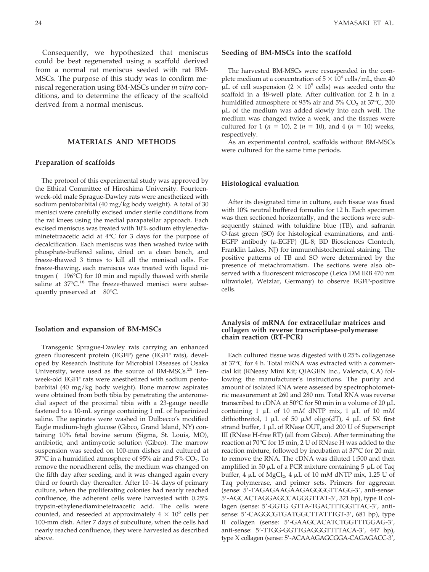Consequently, we hypothesized that meniscus could be best regenerated using a scaffold derived from a normal rat meniscus seeded with rat BM-MSCs. The purpose of this study was to confirm meniscal regeneration using BM-MSCs under *in vitro* conditions, and to determine the efficacy of the scaffold derived from a normal meniscus.

### **MATERIALS AND METHODS**

#### **Preparation of scaffolds**

The protocol of this experimental study was approved by the Ethical Committee of Hiroshima University. Fourteenweek-old male Sprague-Dawley rats were anesthetized with sodium pentobarbital (40 mg/kg body weight). A total of 30 menisci were carefully excised under sterile conditions from the rat knees using the medial parapatellar approach. Each excised meniscus was treated with 10% sodium ethylenediaminetetraacetic acid at 4°C for 3 days for the purpose of decalcification. Each meniscus was then washed twice with phosphate-buffered saline, dried on a clean bench, and freeze-thawed 3 times to kill all the meniscal cells. For freeze-thawing, each meniscus was treated with liquid nitrogen  $(-196^{\circ}C)$  for 10 min and rapidly thawed with sterile saline at 37°C.<sup>18</sup> The freeze-thawed menisci were subsequently preserved at  $-80^{\circ}$ C.

#### **Isolation and expansion of BM-MSCs**

Transgenic Sprague-Dawley rats carrying an enhanced green fluorescent protein (EGFP) gene (EGFP rats), developed by Research Institute for Microbial Diseases of Osaka University, were used as the source of BM-MSCs.<sup>25</sup> Tenweek-old EGFP rats were anesthetized with sodium pentobarbital (40 mg/kg body weight). Bone marrow aspirates were obtained from both tibia by penetrating the anteromedial aspect of the proximal tibia with a 23-gauge needle fastened to a 10-mL syringe containing 1 mL of heparinized saline. The aspirates were washed in Dulbecco's modified Eagle medium-high glucose (Gibco, Grand Island, NY) containing 10% fetal bovine serum (Sigma, St. Louis, MO), antibiotic, and antimycotic solution (Gibco). The marrow suspension was seeded on 100-mm dishes and cultured at 37 $\degree$ C in a humidified atmosphere of 95% air and 5% CO<sub>2</sub>. To remove the nonadherent cells, the medium was changed on the fifth day after seeding, and it was changed again every third or fourth day thereafter. After 10–14 days of primary culture, when the proliferating colonies had nearly reached confluence, the adherent cells were harvested with 0.25% trypsin-ethylenediaminetetraacetic acid. The cells were counted, and reseeded at approximately  $4 \times 10^5$  cells per 100-mm dish. After 7 days of subculture, when the cells had nearly reached confluence, they were harvested as described above.

#### **Seeding of BM-MSCs into the scaffold**

The harvested BM-MSCs were resuspended in the complete medium at a concentration of  $5 \times 10^6$  cells/mL, then 40  $\mu$ L of cell suspension (2  $\times$  10<sup>5</sup> cells) was seeded onto the scaffold in a 48-well plate. After cultivation for 2 h in a humidified atmosphere of 95% air and 5%  $CO<sub>2</sub>$  at 37°C, 200 L of the medium was added slowly into each well. The medium was changed twice a week, and the tissues were cultured for 1 ( $n = 10$ ), 2 ( $n = 10$ ), and 4 ( $n = 10$ ) weeks, respectively.

As an experimental control, scaffolds without BM-MSCs were cultured for the same time periods.

#### **Histological evaluation**

After its designated time in culture, each tissue was fixed with 10% neutral buffered formalin for 12 h. Each specimen was then sectioned horizontally, and the sections were subsequently stained with toluidine blue (TB), and safranin O-fast green (SO) for histological examinations, and anti-EGFP antibody (a-EGFP) (JL-8; BD Biosciences Clontech, Franklin Lakes, NJ) for immunohistochemical staining. The positive patterns of TB and SO were determined by the presence of metachromatism. The sections were also observed with a fluorescent microscope (Leica DM IRB 470 nm ultraviolet, Wetzlar, Germany) to observe EGFP-positive cells.

### **Analysis of mRNA for extracellular matrices and collagen with reverse transcriptase-polymerase chain reaction (RT-PCR)**

Each cultured tissue was digested with 0.25% collagenase at 37°C for 4 h. Total mRNA was extracted with a commercial kit (RNeasy Mini Kit; QIAGEN Inc., Valencia, CA) following the manufacturer's instructions. The purity and amount of isolated RNA were assessed by spectrophotometric measurement at 260 and 280 nm. Total RNA was reverse transcribed to cDNA at  $50^{\circ}$ C for 50 min in a volume of 20  $\mu$ L containing  $1 \mu L$  of  $10 \mu M$  dNTP mix,  $1 \mu L$  of  $10 \mu M$ dithiothreitol, 1  $\mu$ L of 50  $\mu$ M oligo(dT), 4  $\mu$ L of 5X first strand buffer,  $1 \mu L$  of RNase OUT, and 200 U of Superscript III (RNase H-free RT) (all from Gibco). After terminating the reaction at 70°C for 15 min, 2 U of RNase H was added to the reaction mixture, followed by incubation at 37°C for 20 min to remove the RNA. The cDNA was diluted 1:500 and then amplified in 50  $\mu$ L of a PCR mixture containing 5  $\mu$ L of Taq buffer,  $4 \mu L$  of MgCl<sub>2</sub>,  $4 \mu L$  of 10 mM dNTP mix, 1.25 U of Taq polymerase, and primer sets. Primers for aggrecan (sense: 5-TAGAGAAGAAGAGGGGTTAGG-3, anti-sense: 5'-AGCACTAGGAGCCAGGGTTAT-3', 321 bp), type II collagen (sense: 5'-GGTG GTTA-TGACTTTGGTTAC-3', antisense: 5'-CAGGCGTGATGGCTTATTTGT-3', 681 bp), type II collagen (sense: 5'-GAAGCACATCTGGTTTGGAG-3', anti-sense: 5'-TTGG-GGTTGAGGGTTTTACA-3', 447 bp), type X collagen (sense: 5'-ACAAAGAGCGGA-CAGAGACC-3',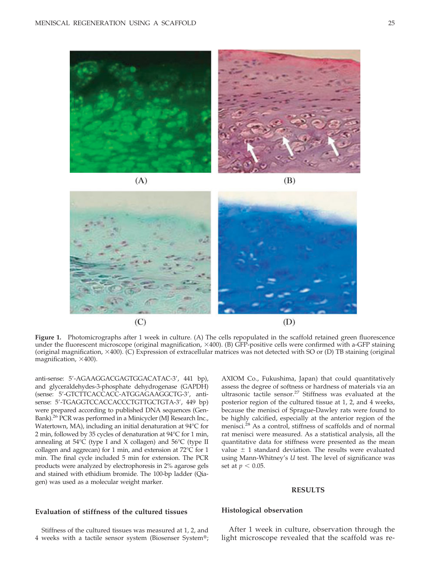



**Figure 1.** Photomicrographs after 1 week in culture. (A) The cells repopulated in the scaffold retained green fluorescence under the fluorescent microscope (original magnification,  $\times$ 400). (B) GFP-positive cells were confirmed with a-GFP staining (original magnification, 400). (C) Expression of extracellular matrices was not detected with SO or (D) TB staining (original magnification,  $\times$ 400).

anti-sense: 5-AGAAGGACGAGTGGACATAC-3, 441 bp), and glyceraldehydes-3-phosphate dehydrogenase (GAPDH) (sense: 5-GTCTTCACCACC-ATGGAGAAGGCTG-3, antisense: 5'-TGAGGTCCACCACCCTGTTGCTGTA-3', 449 bp) were prepared according to published DNA sequences (Gen-Bank).26 PCR was performed in a Minicycler (MJ Research Inc., Watertown, MA), including an initial denaturation at 94°C for 2 min, followed by 35 cycles of denaturation at 94°C for 1 min, annealing at 54°C (type I and X collagen) and 56°C (type II collagen and aggrecan) for 1 min, and extension at 72°C for 1 min. The final cycle included 5 min for extension. The PCR products were analyzed by electrophoresis in 2% agarose gels and stained with ethidium bromide. The 100-bp ladder (Qiagen) was used as a molecular weight marker.

AXIOM Co., Fukushima, Japan) that could quantitatively assess the degree of softness or hardness of materials via an ultrasonic tactile sensor.<sup>27</sup> Stiffness was evaluated at the posterior region of the cultured tissue at 1, 2, and 4 weeks, because the menisci of Sprague-Dawley rats were found to be highly calcified, especially at the anterior region of the menisci.<sup>28</sup> As a control, stiffness of scaffolds and of normal rat menisci were measured. As a statistical analysis, all the quantitative data for stiffness were presented as the mean value  $\pm$  1 standard deviation. The results were evaluated using Mann-Whitney's *U* test. The level of significance was set at  $p\,<\,0.05.$ 

#### **RESULTS**

# **Evaluation of stiffness of the cultured tissues**

Stiffness of the cultured tissues was measured at 1, 2, and 4 weeks with a tactile sensor system (Biosenser System®;

#### **Histological observation**

After 1 week in culture, observation through the light microscope revealed that the scaffold was re-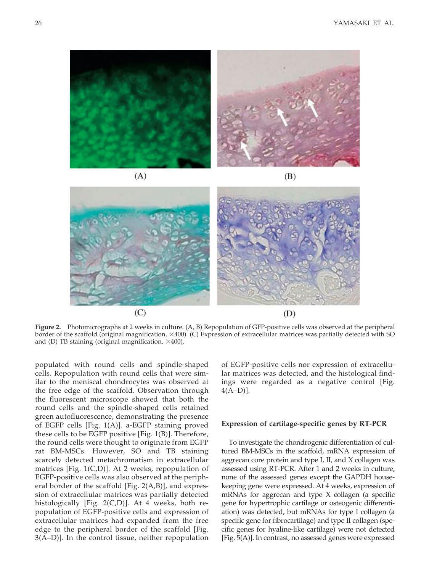

**Figure 2.** Photomicrographs at 2 weeks in culture. (A, B) Repopulation of GFP-positive cells was observed at the peripheral border of the scaffold (original magnification, 400). (C) Expression of extracellular matrices was partially detected with SO and (D) TB staining (original magnification,  $\times$ 400).

populated with round cells and spindle-shaped cells. Repopulation with round cells that were similar to the meniscal chondrocytes was observed at the free edge of the scaffold. Observation through the fluorescent microscope showed that both the round cells and the spindle-shaped cells retained green autofluorescence, demonstrating the presence of EGFP cells [Fig. 1(A)]. a-EGFP staining proved these cells to be EGFP positive [Fig. 1(B)]. Therefore, the round cells were thought to originate from EGFP rat BM-MSCs. However, SO and TB staining scarcely detected metachromatism in extracellular matrices [Fig. 1(C,D)]. At 2 weeks, repopulation of EGFP-positive cells was also observed at the peripheral border of the scaffold [Fig. 2(A,B)], and expression of extracellular matrices was partially detected histologically [Fig. 2(C,D)]. At 4 weeks, both repopulation of EGFP-positive cells and expression of extracellular matrices had expanded from the free edge to the peripheral border of the scaffold [Fig. 3(A–D)]. In the control tissue, neither repopulation

of EGFP-positive cells nor expression of extracellular matrices was detected, and the histological findings were regarded as a negative control [Fig. 4(A–D)].

## **Expression of cartilage-specific genes by RT-PCR**

To investigate the chondrogenic differentiation of cultured BM-MSCs in the scaffold, mRNA expression of aggrecan core protein and type I, II, and X collagen was assessed using RT-PCR. After 1 and 2 weeks in culture, none of the assessed genes except the GAPDH housekeeping gene were expressed. At 4 weeks, expression of mRNAs for aggrecan and type X collagen (a specific gene for hypertrophic cartilage or osteogenic differentiation) was detected, but mRNAs for type I collagen (a specific gene for fibrocartilage) and type II collagen (specific genes for hyaline-like cartilage) were not detected [Fig. 5(A)]. In contrast, no assessed genes were expressed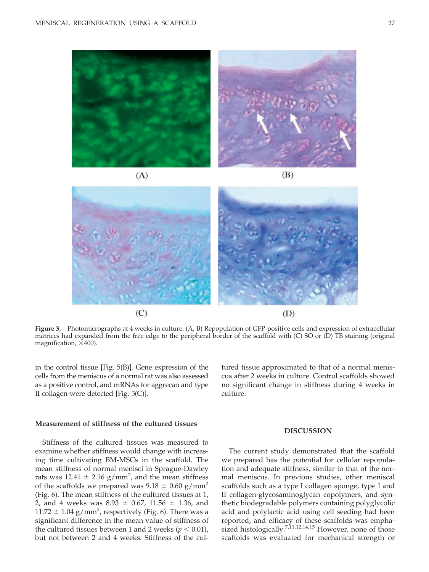

**Figure 3.** Photomicrographs at 4 weeks in culture. (A, B) Repopulation of GFP-positive cells and expression of extracellular matrices had expanded from the free edge to the peripheral border of the scaffold with (C) SO or (D) TB staining (original magnification,  $\times$ 400).

in the control tissue [Fig. 5(B)]. Gene expression of the cells from the meniscus of a normal rat was also assessed as a positive control, and mRNAs for aggrecan and type II collagen were detected [Fig. 5(C)].

 $(C)$ 

# **Measurement of stiffness of the cultured tissues**

Stiffness of the cultured tissues was measured to examine whether stiffness would change with increasing time cultivating BM-MSCs in the scaffold. The mean stiffness of normal menisci in Sprague-Dawley rats was  $12.41 \pm 2.16$  g/mm<sup>2</sup>, and the mean stiffness of the scaffolds we prepared was  $9.18 \pm 0.60$  g/mm<sup>2</sup> (Fig. 6). The mean stiffness of the cultured tissues at 1, 2, and 4 weeks was  $8.93 \pm 0.67$ ,  $11.56 \pm 1.36$ , and 11.72  $\pm$  1.04 g/mm<sup>2</sup>, respectively (Fig. 6). There was a significant difference in the mean value of stiffness of the cultured tissues between 1 and 2 weeks ( $p < 0.01$ ), but not between 2 and 4 weeks. Stiffness of the cultured tissue approximated to that of a normal meniscus after 2 weeks in culture. Control scaffolds showed no significant change in stiffness during 4 weeks in culture.

 $(D)$ 

#### **DISCUSSION**

The current study demonstrated that the scaffold we prepared has the potential for cellular repopulation and adequate stiffness, similar to that of the normal meniscus. In previous studies, other meniscal scaffolds such as a type I collagen sponge, type I and II collagen-glycosaminoglycan copolymers, and synthetic biodegradable polymers containing polyglycolic acid and polylactic acid using cell seeding had been reported, and efficacy of these scaffolds was emphasized histologically.<sup>7,11,12,14,15</sup> However, none of those scaffolds was evaluated for mechanical strength or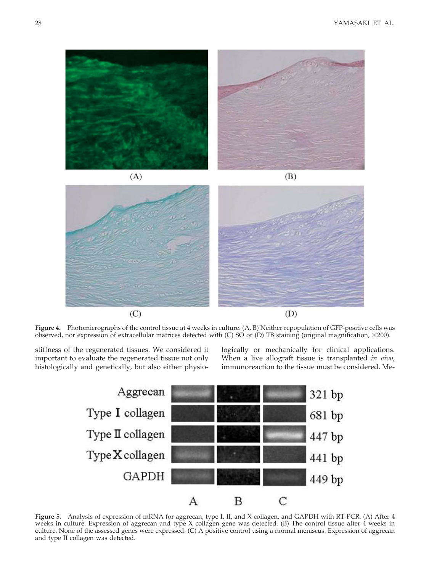

**Figure 4.** Photomicrographs of the control tissue at 4 weeks in culture. (A, B) Neither repopulation of GFP-positive cells was observed, nor expression of extracellular matrices detected with  $(C)$  SO or  $(D)$  TB staining (original magnification,  $\times$ 200).

stiffness of the regenerated tissues. We considered it important to evaluate the regenerated tissue not only histologically and genetically, but also either physiologically or mechanically for clinical applications. When a live allograft tissue is transplanted *in vivo*, immunoreaction to the tissue must be considered. Me-



**Figure 5.** Analysis of expression of mRNA for aggrecan, type I, II, and X collagen, and GAPDH with RT-PCR. (A) After 4 weeks in culture. Expression of aggrecan and type X collagen gene was detected. (B) The control tissue after 4 weeks in culture. None of the assessed genes were expressed. (C) A positive control using a normal meniscus. Expression of aggrecan and type II collagen was detected.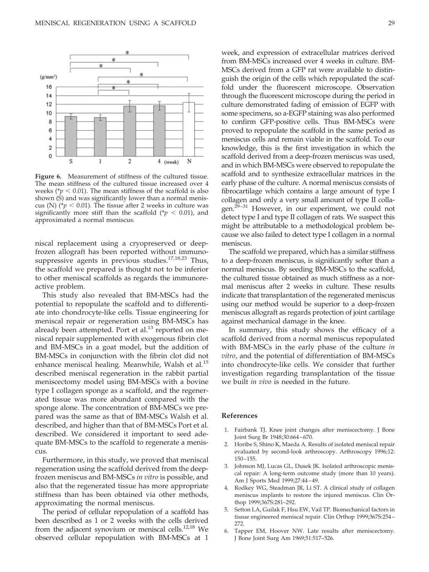

**Figure 6.** Measurement of stiffness of the cultured tissue. The mean stiffness of the cultured tissue increased over 4 weeks ( $\gamma$   $\leq$  0.01). The mean stiffness of the scaffold is also shown (S) and was significantly lower than a normal meniscus (N) ( $p < 0.01$ ). The tissue after 2 weeks in culture was significantly more stiff than the scaffold ( $p < 0.01$ ), and approximated a normal meniscus.

niscal replacement using a cryopreserved or deepfrozen allograft has been reported without immunosuppressive agents in previous studies.<sup>17,18,23</sup> Thus, the scaffold we prepared is thought not to be inferior to other meniscal scaffolds as regards the immunoreactive problem.

This study also revealed that BM-MSCs had the potential to repopulate the scaffold and to differentiate into chondrocyte-like cells. Tissue engineering for meniscal repair or regeneration using BM-MSCs has already been attempted. Port et al.<sup>13</sup> reported on meniscal repair supplemented with exogenous fibrin clot and BM-MSCs in a goat model, but the addition of BM-MSCs in conjunction with the fibrin clot did not enhance meniscal healing. Meanwhile, Walsh et al.<sup>15</sup> described meniscal regeneration in the rabbit partial meniscectomy model using BM-MSCs with a bovine type I collagen sponge as a scaffold, and the regenerated tissue was more abundant compared with the sponge alone. The concentration of BM-MSCs we prepared was the same as that of BM-MSCs Walsh et al. described, and higher than that of BM-MSCs Port et al. described. We considered it important to seed adequate BM-MSCs to the scaffold to regenerate a meniscus.

Furthermore, in this study, we proved that meniscal regeneration using the scaffold derived from the deepfrozen meniscus and BM-MSCs *in vitro* is possible, and also that the regenerated tissue has more appropriate stiffness than has been obtained via other methods, approximating the normal meniscus.

The period of cellular repopulation of a scaffold has been described as 1 or 2 weeks with the cells derived from the adjacent synovium or meniscal cells.<sup>12,18</sup> We observed cellular repopulation with BM-MSCs at 1

week, and expression of extracellular matrices derived from BM-MSCs increased over 4 weeks in culture. BM-MSCs derived from a GFP rat were available to distinguish the origin of the cells which repopulated the scaffold under the fluorescent microscope. Observation through the fluorescent microscope during the period in culture demonstrated fading of emission of EGFP with some specimens, so a-EGFP staining was also performed to confirm GFP-positive cells. Thus BM-MSCs were proved to repopulate the scaffold in the same period as meniscus cells and remain viable in the scaffold. To our knowledge, this is the first investigation in which the scaffold derived from a deep-frozen meniscus was used, and in which BM-MSCs were observed to repopulate the scaffold and to synthesize extracellular matrices in the early phase of the culture. A normal meniscus consists of fibrocartilage which contains a large amount of type I collagen and only a very small amount of type II collagen. $2^{9-31}$  However, in our experiment, we could not detect type I and type II collagen of rats. We suspect this might be attributable to a methodological problem because we also failed to detect type I collagen in a normal meniscus.

The scaffold we prepared, which has a similar stiffness to a deep-frozen meniscus, is significantly softer than a normal meniscus. By seeding BM-MSCs to the scaffold, the cultured tissue obtained as much stiffness as a normal meniscus after 2 weeks in culture. These results indicate that transplantation of the regenerated meniscus using our method would be superior to a deep-frozen meniscus allograft as regards protection of joint cartilage against mechanical damage in the knee.

In summary, this study shows the efficacy of a scaffold derived from a normal meniscus repopulated with BM-MSCs in the early phase of the culture *in vitro*, and the potential of differentiation of BM-MSCs into chondrocyte-like cells. We consider that further investigation regarding transplantation of the tissue we built *in vivo* is needed in the future.

# **References**

- 1. Fairbank TJ. Knee joint changes after meniscectomy. J Bone Joint Surg Br 1948;30:664 – 670.
- 2. Horibe S, Shino K, Maeda A. Results of isolated meniscal repair evaluated by second-look arthroscopy. Arthroscopy 1996;12: 150 –155.
- 3. Johnson MJ, Lucas GL, Dusek JK. Isolated arthroscopic meniscal repair: A long-term outcome study (more than 10 years). Am J Sports Med 1999;27:44 – 49.
- 4. Rodkey WG, Steadman JR, Li ST. A clinical study of collagen meniscus implants to restore the injured meniscus. Clin Orthop 1999;367S:281–292.
- 5. Setton LA, Guilak F, Hsu EW, Vail TP. Biomechanical factors in tissue engineered meniscal repair. Clin Orthop 1999;367S:254 – 272.
- Tapper EM, Hoover NW. Late results after meniscectomy. J Bone Joint Surg Am 1969;51:517–526.